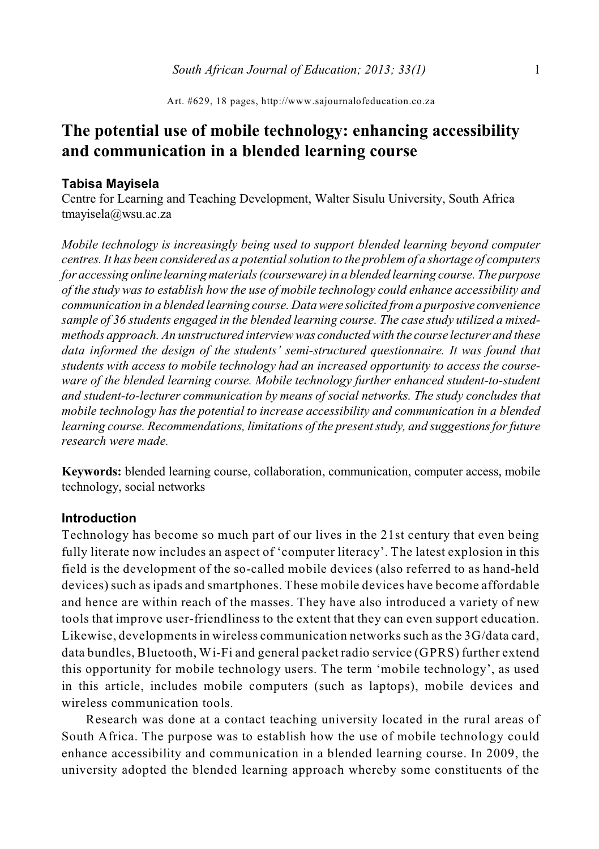Art. #629, 18 pages, http://www.sajournalofeducation.co.za

## **The potential use of mobile technology: enhancing accessibility and communication in a blended learning course**

### **Tabisa Mayisela**

Centre for Learning and Teaching Development, Walter Sisulu University, South Africa tmayisela@wsu.ac.za

*Mobile technology is increasingly being used to support blended learning beyond computer centres. It has been considered as a potential solution to the problem of a shortage of computers for accessing online learning materials (courseware) in a blended learning course. The purpose of the study was to establish how the use of mobile technology could enhance accessibility and communication in a blended learning course. Datawere solicited from a purposive convenience sample of 36 students engaged in the blended learning course. The case study utilized a mixedmethods approach. An unstructured interview was conducted with the course lecturer and these data informed the design of the students' semi-structured questionnaire. It was found that students with access to mobile technology had an increased opportunity to access the courseware of the blended learning course. Mobile technology further enhanced student-to-student and student-to-lecturer communication by means of social networks. The study concludes that mobile technology has the potential to increase accessibility and communication in a blended learning course. Recommendations, limitations of the present study, and suggestions for future research were made.*

**Keywords:** blended learning course, collaboration, communication, computer access, mobile technology, social networks

## **Introduction**

Technology has become so much part of our lives in the 21st century that even being fully literate now includes an aspect of 'computer literacy'. The latest explosion in this field is the development of the so-called mobile devices (also referred to as hand-held devices) such as ipads and smartphones. These mobile devices have become affordable and hence are within reach of the masses. They have also introduced a variety of new tools that improve user-friendliness to the extent that they can even support education. Likewise, developments in wireless communication networks such as the 3G/data card, data bundles, Bluetooth, Wi-Fi and general packet radio service (GPRS) further extend this opportunity for mobile technology users. The term 'mobile technology', as used in this article, includes mobile computers (such as laptops), mobile devices and wireless communication tools.

Research was done at a contact teaching university located in the rural areas of South Africa. The purpose was to establish how the use of mobile technology could enhance accessibility and communication in a blended learning course. In 2009, the university adopted the blended learning approach whereby some constituents of the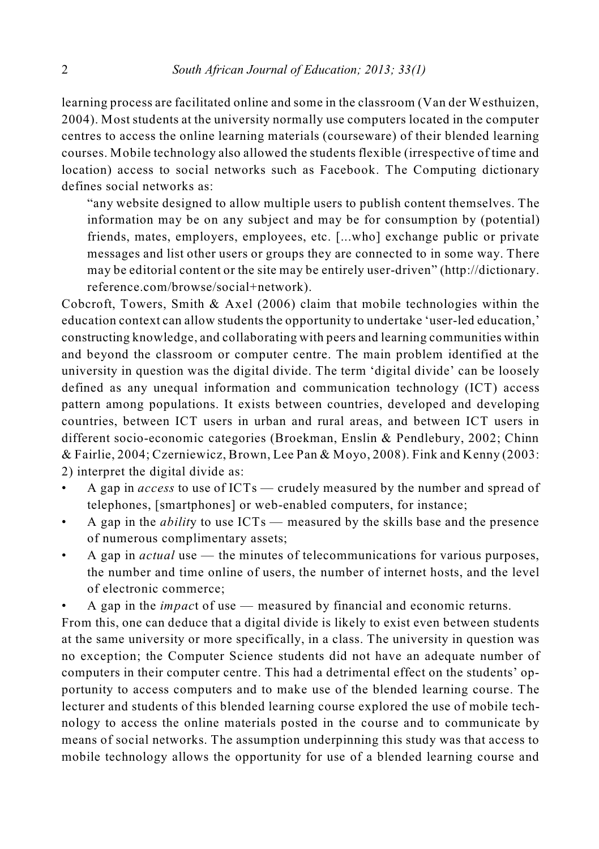learning process are facilitated online and some in the classroom (Van der Westhuizen, 2004). Most students at the university normally use computers located in the computer centres to access the online learning materials (courseware) of their blended learning courses. Mobile technology also allowed the students flexible (irrespective of time and location) access to social networks such as Facebook. The Computing dictionary defines social networks as:

"any website designed to allow multiple users to publish content themselves. The information may be on any subject and may be for consumption by (potential) friends, mates, employers, employees, etc. [...who] exchange public or private messages and list other users or groups they are connected to in some way. There may be editorial content or the site may be entirely user-driven" (http://dictionary. reference.com/browse/social+network).

Cobcroft, Towers, Smith & Axel (2006) claim that mobile technologies within the education context can allow students the opportunity to undertake 'user-led education,' constructing knowledge, and collaborating with peers and learning communities within and beyond the classroom or computer centre. The main problem identified at the university in question was the digital divide. The term 'digital divide' can be loosely defined as any unequal information and communication technology (ICT) access pattern among populations. It exists between countries, developed and developing countries, between ICT users in urban and rural areas, and between ICT users in different socio-economic categories (Broekman, Enslin & Pendlebury, 2002; Chinn & Fairlie, 2004; Czerniewicz, Brown, Lee Pan & Moyo, 2008). Fink and Kenny (2003: 2) interpret the digital divide as:

- A gap in *access* to use of ICTs crudely measured by the number and spread of telephones, [smartphones] or web-enabled computers, for instance;
- A gap in the *abilit*y to use ICTs measured by the skills base and the presence of numerous complimentary assets;
- A gap in *actual* use the minutes of telecommunications for various purposes, the number and time online of users, the number of internet hosts, and the level of electronic commerce;
- A gap in the *impac*t of use measured by financial and economic returns.

From this, one can deduce that a digital divide is likely to exist even between students at the same university or more specifically, in a class. The university in question was no exception; the Computer Science students did not have an adequate number of computers in their computer centre. This had a detrimental effect on the students' opportunity to access computers and to make use of the blended learning course. The lecturer and students of this blended learning course explored the use of mobile technology to access the online materials posted in the course and to communicate by means of social networks. The assumption underpinning this study was that access to mobile technology allows the opportunity for use of a blended learning course and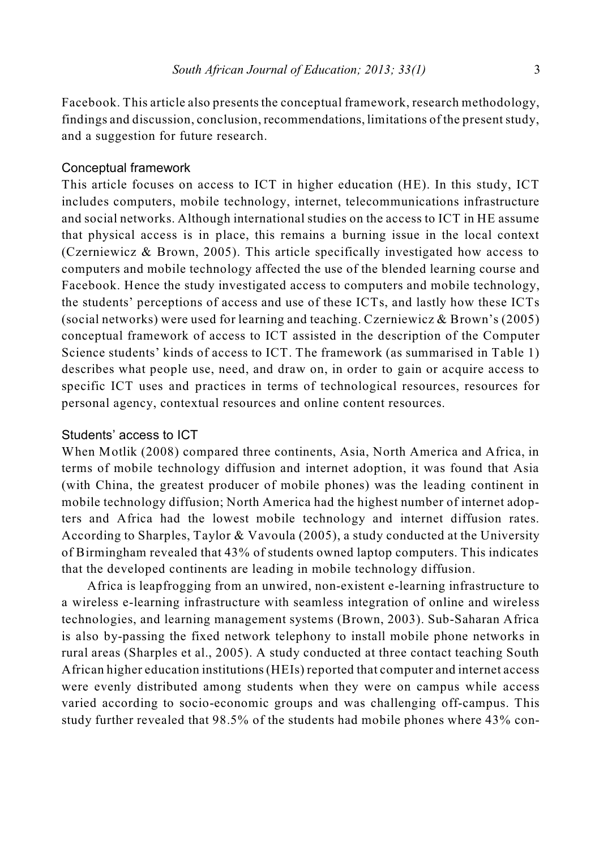Facebook. This article also presents the conceptual framework, research methodology, findings and discussion, conclusion, recommendations, limitations of the presentstudy, and a suggestion for future research.

### Conceptual framework

This article focuses on access to ICT in higher education (HE). In this study, ICT includes computers, mobile technology, internet, telecommunications infrastructure and social networks. Although international studies on the access to ICT in HE assume that physical access is in place, this remains a burning issue in the local context (Czerniewicz & Brown, 2005). This article specifically investigated how access to computers and mobile technology affected the use of the blended learning course and Facebook. Hence the study investigated access to computers and mobile technology, the students' perceptions of access and use of these ICTs, and lastly how these ICTs (social networks) were used for learning and teaching. Czerniewicz & Brown's (2005) conceptual framework of access to ICT assisted in the description of the Computer Science students' kinds of access to ICT. The framework (as summarised in Table 1) describes what people use, need, and draw on, in order to gain or acquire access to specific ICT uses and practices in terms of technological resources, resources for personal agency, contextual resources and online content resources.

## Students' access to ICT

When Motlik (2008) compared three continents, Asia, North America and Africa, in terms of mobile technology diffusion and internet adoption, it was found that Asia (with China, the greatest producer of mobile phones) was the leading continent in mobile technology diffusion; North America had the highest number of internet adopters and Africa had the lowest mobile technology and internet diffusion rates. According to Sharples, Taylor & Vavoula (2005), a study conducted at the University of Birmingham revealed that 43% of students owned laptop computers. This indicates that the developed continents are leading in mobile technology diffusion.

Africa is leapfrogging from an unwired, non-existent e-learning infrastructure to a wireless e-learning infrastructure with seamless integration of online and wireless technologies, and learning management systems (Brown, 2003). Sub-Saharan Africa is also by-passing the fixed network telephony to install mobile phone networks in rural areas (Sharples et al., 2005). A study conducted at three contact teaching South African higher education institutions(HEIs) reported that computer and internet access were evenly distributed among students when they were on campus while access varied according to socio-economic groups and was challenging off-campus. This study further revealed that 98.5% of the students had mobile phones where 43% con-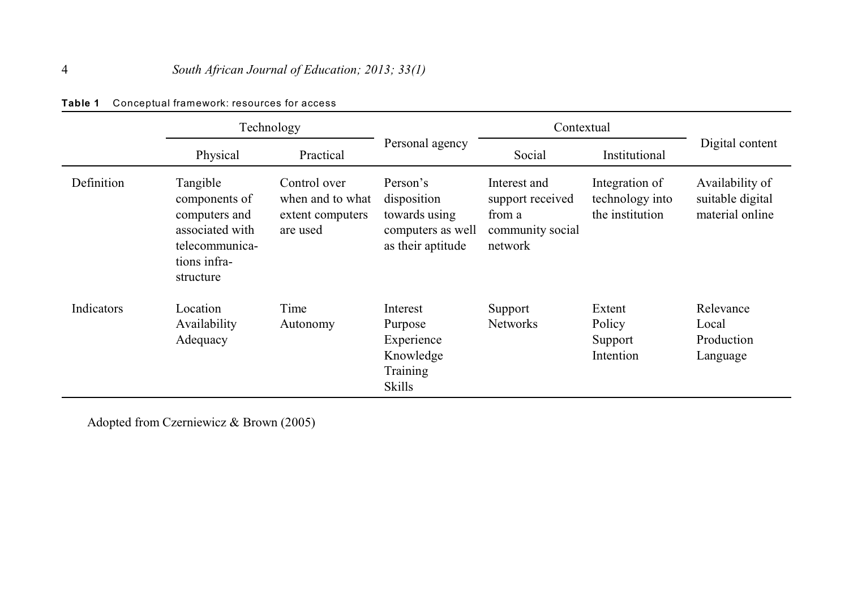|            | Technology                                                                                                   |                                                                  |                                                                                    | Contextual                                                                |                                                      |                                                        |
|------------|--------------------------------------------------------------------------------------------------------------|------------------------------------------------------------------|------------------------------------------------------------------------------------|---------------------------------------------------------------------------|------------------------------------------------------|--------------------------------------------------------|
|            | Physical                                                                                                     | Practical                                                        | Personal agency                                                                    | Social                                                                    | Institutional                                        | Digital content                                        |
| Definition | Tangible<br>components of<br>computers and<br>associated with<br>telecommunica-<br>tions infra-<br>structure | Control over<br>when and to what<br>extent computers<br>are used | Person's<br>disposition<br>towards using<br>computers as well<br>as their aptitude | Interest and<br>support received<br>from a<br>community social<br>network | Integration of<br>technology into<br>the institution | Availability of<br>suitable digital<br>material online |
| Indicators | Location<br>Availability<br>Adequacy                                                                         | Time<br>Autonomy                                                 | Interest<br>Purpose<br>Experience<br>Knowledge<br>Training<br><b>Skills</b>        | Support<br><b>Networks</b>                                                | Extent<br>Policy<br>Support<br>Intention             | Relevance<br>Local<br>Production<br>Language           |

# **Table 1** Conceptual framework: resources for access

Adopted from Czerniewicz & Brown (2005)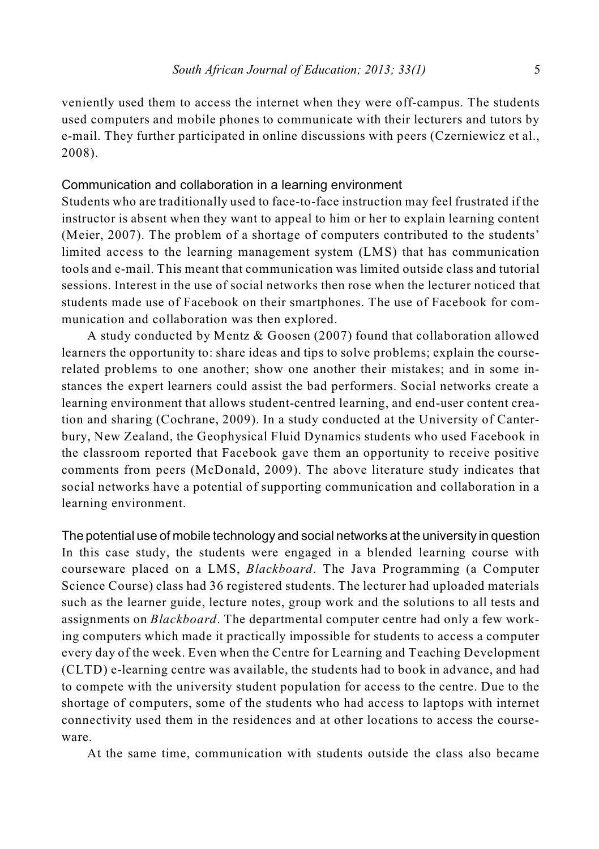veniently used them to access the internet when they were off-campus. The students used computers and mobile phones to communicate with their lecturers and tutors by e-mail. They further participated in online discussions with peers (Czerniewicz et al., 2008).

### Communication and collaboration in a learning environment

Students who are traditionally used to face-to-face instruction may feel frustrated if the instructor is absent when they want to appeal to him or her to explain learning content (Meier, 2007). The problem of a shortage of computers contributed to the students' limited access to the learning management system (LMS) that has communication tools and e-mail. This meant that communication was limited outside class and tutorial sessions. Interest in the use of social networks then rose when the lecturer noticed that students made use of Facebook on their smartphones. The use of Facebook for communication and collaboration was then explored.

A study conducted by Mentz & Goosen (2007) found that collaboration allowed learners the opportunity to: share ideas and tips to solve problems; explain the courserelated problems to one another; show one another their mistakes; and in some instances the expert learners could assist the bad performers. Social networks create a learning environment that allows student-centred learning, and end-user content creation and sharing (Cochrane, 2009). In a study conducted at the University of Canterbury, New Zealand, the Geophysical Fluid Dynamics students who used Facebook in the classroom reported that Facebook gave them an opportunity to receive positive comments from peers (McDonald, 2009). The above literature study indicates that social networks have a potential of supporting communication and collaboration in a learning environment.

The potential use of mobile technology and social networks at the university in question In this case study, the students were engaged in a blended learning course with courseware placed on a LMS, *Blackboard*. The Java Programming (a Computer Science Course) class had 36 registered students. The lecturer had uploaded materials such as the learner guide, lecture notes, group work and the solutions to all tests and assignments on *Blackboard*. The departmental computer centre had only a few working computers which made it practically impossible for students to access a computer every day of the week. Even when the Centre for Learning and Teaching Development (CLTD) e-learning centre was available, the students had to book in advance, and had to compete with the university student population for access to the centre. Due to the shortage of computers, some of the students who had access to laptops with internet connectivity used them in the residences and at other locations to access the courseware.

At the same time, communication with students outside the class also became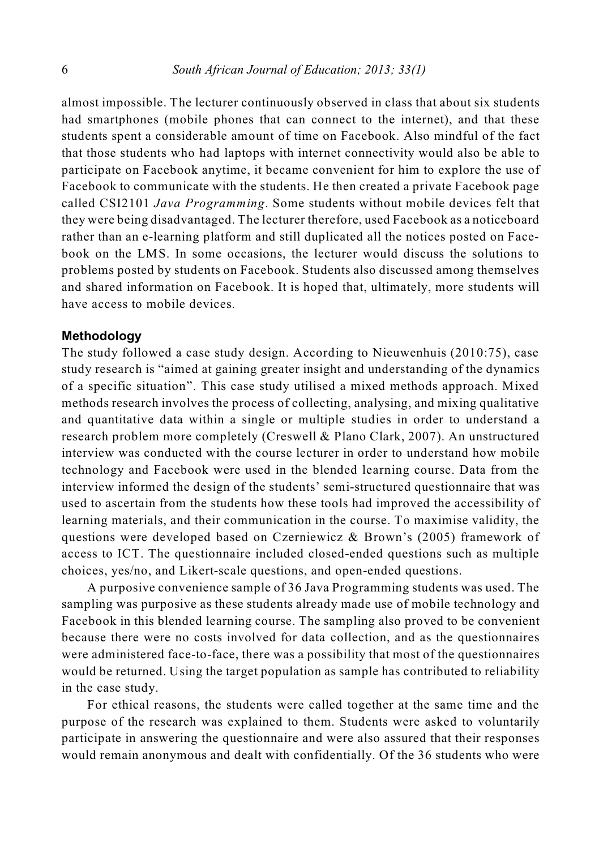almost impossible. The lecturer continuously observed in class that about six students had smartphones (mobile phones that can connect to the internet), and that these students spent a considerable amount of time on Facebook. Also mindful of the fact that those students who had laptops with internet connectivity would also be able to participate on Facebook anytime, it became convenient for him to explore the use of Facebook to communicate with the students. He then created a private Facebook page called CSI2101 *Java Programming*. Some students without mobile devices felt that they were being disadvantaged. The lecturer therefore, used Facebook as a noticeboard rather than an e-learning platform and still duplicated all the notices posted on Facebook on the LMS. In some occasions, the lecturer would discuss the solutions to problems posted by students on Facebook. Students also discussed among themselves and shared information on Facebook. It is hoped that, ultimately, more students will have access to mobile devices.

## **Methodology**

The study followed a case study design. According to Nieuwenhuis (2010:75), case study research is "aimed at gaining greater insight and understanding of the dynamics of a specific situation". This case study utilised a mixed methods approach. Mixed methods research involves the process of collecting, analysing, and mixing qualitative and quantitative data within a single or multiple studies in order to understand a research problem more completely (Creswell & Plano Clark, 2007). An unstructured interview was conducted with the course lecturer in order to understand how mobile technology and Facebook were used in the blended learning course. Data from the interview informed the design of the students' semi-structured questionnaire that was used to ascertain from the students how these tools had improved the accessibility of learning materials, and their communication in the course. To maximise validity, the questions were developed based on Czerniewicz & Brown's (2005) framework of access to ICT. The questionnaire included closed-ended questions such as multiple choices, yes/no, and Likert-scale questions, and open-ended questions.

A purposive convenience sample of 36 Java Programming students was used. The sampling was purposive as these students already made use of mobile technology and Facebook in this blended learning course. The sampling also proved to be convenient because there were no costs involved for data collection, and as the questionnaires were administered face-to-face, there was a possibility that most of the questionnaires would be returned. Using the target population as sample has contributed to reliability in the case study.

For ethical reasons, the students were called together at the same time and the purpose of the research was explained to them. Students were asked to voluntarily participate in answering the questionnaire and were also assured that their responses would remain anonymous and dealt with confidentially. Of the 36 students who were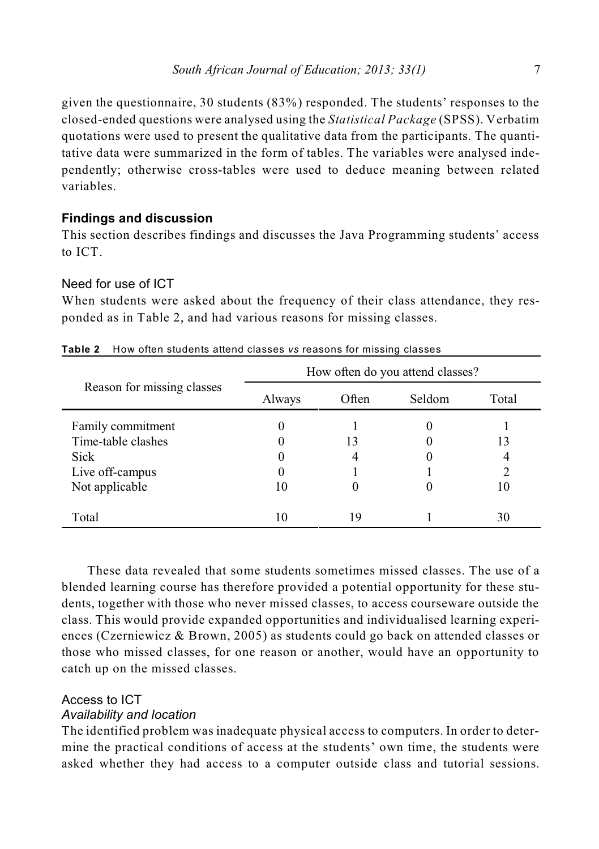given the questionnaire, 30 students (83%) responded. The students' responses to the closed-ended questions were analysed using the *Statistical Package* (SPSS). Verbatim quotations were used to present the qualitative data from the participants. The quantitative data were summarized in the form of tables. The variables were analysed independently; otherwise cross-tables were used to deduce meaning between related variables.

## **Findings and discussion**

This section describes findings and discusses the Java Programming students' access to ICT.

## Need for use of ICT

When students were asked about the frequency of their class attendance, they responded as in Table 2, and had various reasons for missing classes.

|                            | How often do you attend classes? |       |        |               |  |
|----------------------------|----------------------------------|-------|--------|---------------|--|
| Reason for missing classes | Always                           | Often | Seldom | Total         |  |
| Family commitment          | 0                                |       |        |               |  |
| Time-table clashes         | 0                                |       |        | 13            |  |
| <b>Sick</b>                | 0                                |       |        |               |  |
| Live off-campus            | 0                                |       |        | $\mathcal{D}$ |  |
| Not applicable             | 10                               |       |        | 10            |  |
| Total                      | 10                               | 19    |        | 30            |  |

These data revealed that some students sometimes missed classes. The use of a blended learning course has therefore provided a potential opportunity for these students, together with those who never missed classes, to access courseware outside the class. This would provide expanded opportunities and individualised learning experiences (Czerniewicz & Brown, 2005) as students could go back on attended classes or those who missed classes, for one reason or another, would have an opportunity to catch up on the missed classes.

## Access to ICT

## *Availability and location*

The identified problem was inadequate physical access to computers. In order to determine the practical conditions of access at the students' own time, the students were asked whether they had access to a computer outside class and tutorial sessions.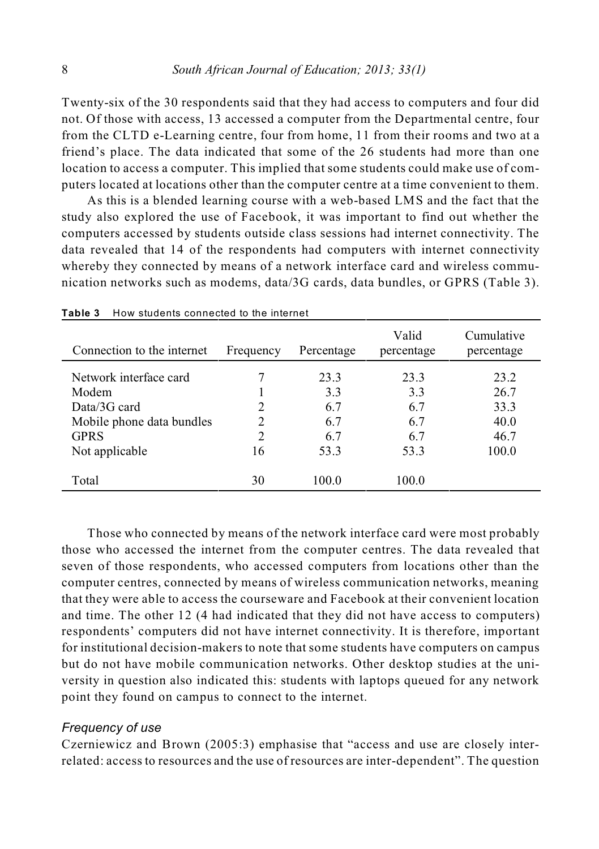Twenty-six of the 30 respondents said that they had access to computers and four did not. Of those with access, 13 accessed a computer from the Departmental centre, four from the CLTD e-Learning centre, four from home, 11 from their rooms and two at a friend's place. The data indicated that some of the 26 students had more than one location to access a computer. This implied that some students could make use of computers located at locations other than the computer centre at a time convenient to them.

As this is a blended learning course with a web-based LMS and the fact that the study also explored the use of Facebook, it was important to find out whether the computers accessed by students outside class sessions had internet connectivity. The data revealed that 14 of the respondents had computers with internet connectivity whereby they connected by means of a network interface card and wireless communication networks such as modems, data/3G cards, data bundles, or GPRS (Table 3).

| Connection to the internet | Frequency      | Percentage | Valid<br>percentage | Cumulative<br>percentage |
|----------------------------|----------------|------------|---------------------|--------------------------|
| Network interface card     |                | 23.3       | 23.3                | 23.2                     |
| Modem                      |                | 3.3        | 3.3                 | 26.7                     |
| Data/3G card               | $\mathfrak{D}$ | 6.7        | 6.7                 | 33.3                     |
| Mobile phone data bundles  | C              | 6.7        | 6.7                 | 40.0                     |
| <b>GPRS</b>                | 2              | 6.7        | 6.7                 | 46.7                     |
| Not applicable             | 16             | 53.3       | 53.3                | 100.0                    |
| Total                      | 30             | 100.0      | 100.0               |                          |

| How students connected to the internet<br>Table 3 |  |
|---------------------------------------------------|--|
|---------------------------------------------------|--|

Those who connected by means of the network interface card were most probably those who accessed the internet from the computer centres. The data revealed that seven of those respondents, who accessed computers from locations other than the computer centres, connected by means of wireless communication networks, meaning that they were able to access the courseware and Facebook at their convenient location and time. The other 12 (4 had indicated that they did not have access to computers) respondents' computers did not have internet connectivity. It is therefore, important for institutional decision-makers to note that some students have computers on campus but do not have mobile communication networks. Other desktop studies at the university in question also indicated this: students with laptops queued for any network point they found on campus to connect to the internet.

#### *Frequency of use*

Czerniewicz and Brown (2005:3) emphasise that "access and use are closely interrelated: access to resources and the use of resources are inter-dependent". The question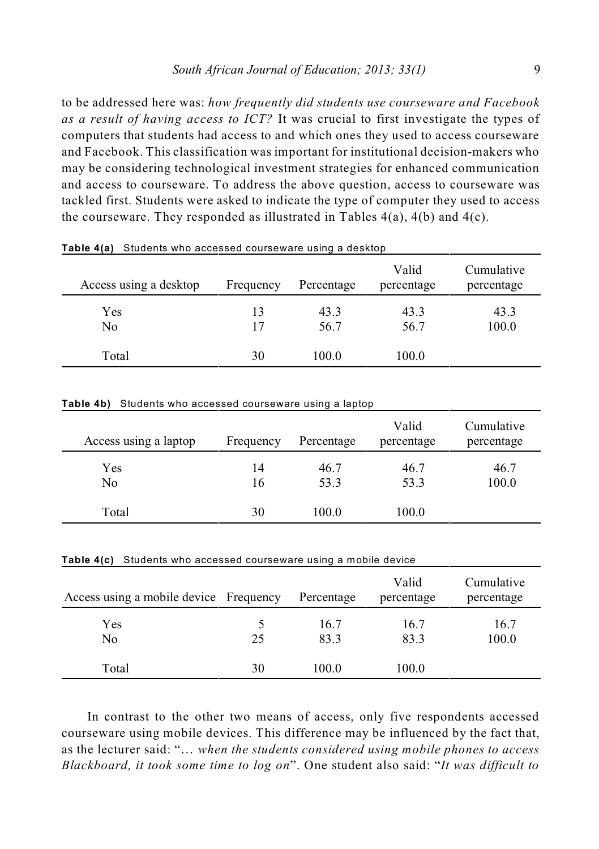to be addressed here was: *how frequently did students use courseware and Facebook as a result of having access to ICT?* It was crucial to first investigate the types of computers that students had access to and which ones they used to access courseware and Facebook. This classification was important for institutional decision-makers who may be considering technological investment strategies for enhanced communication and access to courseware. To address the above question, access to courseware was tackled first. Students were asked to indicate the type of computer they used to access the courseware. They responded as illustrated in Tables  $4(a)$ ,  $4(b)$  and  $4(c)$ .

| Access using a desktop | Frequency | Percentage   | Valid<br>percentage | Cumulative<br>percentage |
|------------------------|-----------|--------------|---------------------|--------------------------|
| Yes<br>No              | 13<br>17  | 43.3<br>56.7 | 43.3<br>56.7        | 43.3<br>100.0            |
| Total                  | 30        | 100.0        | 100.0               |                          |

**Table 4(a)** Students who accessed courseware using a desktop

| Access using a laptop | Frequency | Percentage | Valid<br>percentage | Cumulative<br>percentage |
|-----------------------|-----------|------------|---------------------|--------------------------|
| Yes                   | 14        | 46.7       | 46.7                | 46.7                     |
| No                    | 16        | 53.3       | 53.3                | 100.0                    |
| Total                 | 30        | 100.0      | 100.0               |                          |

**Table 4b)** Students who accessed courseware using a laptop

| Table 4(c) Students who accessed courseware using a mobile device |  |  |
|-------------------------------------------------------------------|--|--|
|-------------------------------------------------------------------|--|--|

| Access using a mobile device Frequency |    | Percentage   | Valid<br>percentage | Cumulative<br>percentage |
|----------------------------------------|----|--------------|---------------------|--------------------------|
| Yes<br>No                              | 25 | 16.7<br>83.3 | 16.7<br>83.3        | 16.7<br>100.0            |
| Total                                  | 30 | 100.0        | 100.0               |                          |

In contrast to the other two means of access, only five respondents accessed courseware using mobile devices. This difference may be influenced by the fact that, as the lecturer said: "… *when the students considered using mobile phones to access Blackboard, it took some time to log on*". One student also said: "*It was difficult to*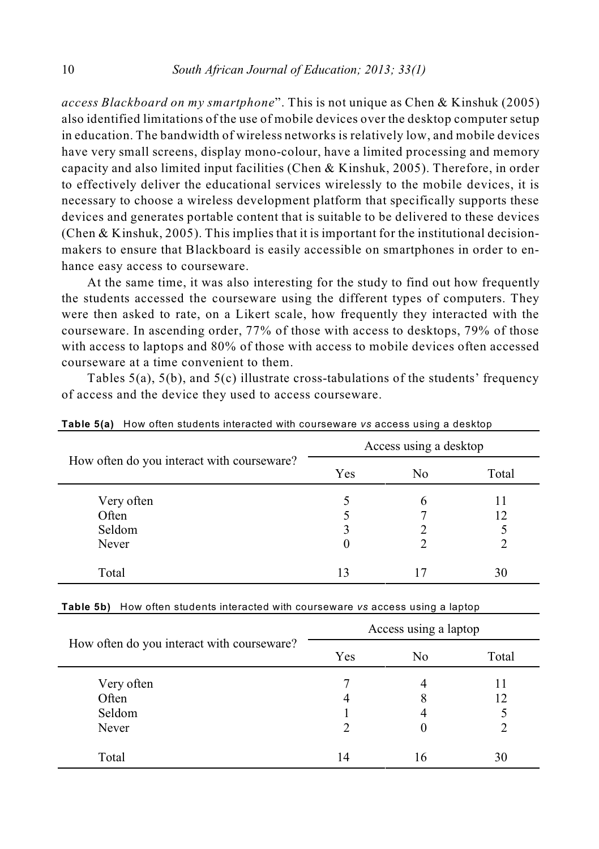*access Blackboard on my smartphone*". This is not unique as Chen & Kinshuk (2005) also identified limitations of the use of mobile devices over the desktop computer setup in education. The bandwidth of wireless networks is relatively low, and mobile devices have very small screens, display mono-colour, have a limited processing and memory capacity and also limited input facilities (Chen & Kinshuk, 2005). Therefore, in order to effectively deliver the educational services wirelessly to the mobile devices, it is necessary to choose a wireless development platform that specifically supports these devices and generates portable content that is suitable to be delivered to these devices (Chen & Kinshuk, 2005). This implies that it is important for the institutional decisionmakers to ensure that Blackboard is easily accessible on smartphones in order to enhance easy access to courseware.

At the same time, it was also interesting for the study to find out how frequently the students accessed the courseware using the different types of computers. They were then asked to rate, on a Likert scale, how frequently they interacted with the courseware. In ascending order, 77% of those with access to desktops, 79% of those with access to laptops and 80% of those with access to mobile devices often accessed courseware at a time convenient to them.

Tables 5(a), 5(b), and 5(c) illustrate cross-tabulations of the students' frequency of access and the device they used to access courseware.

|                                            | Access using a desktop |                |       |  |
|--------------------------------------------|------------------------|----------------|-------|--|
| How often do you interact with courseware? | Yes                    | N <sub>0</sub> | Total |  |
| Very often<br>Often<br>Seldom<br>Never     | $\theta$               |                |       |  |
| Total                                      | 13                     | 17             | 30    |  |

**Table 5(a)** How often students interacted with courseware *vs* access using a desktop

#### **Table 5b)** How often students interacted with courseware *vs* access using a laptop

| How often do you interact with courseware? | Access using a laptop |          |       |  |
|--------------------------------------------|-----------------------|----------|-------|--|
|                                            | Yes                   | No       | Total |  |
| Very often                                 |                       |          |       |  |
| Often                                      | 4                     | Χ        | 12    |  |
| Seldom                                     |                       |          |       |  |
| Never                                      |                       | $\theta$ |       |  |
| Total                                      | 14                    | 16       | 30    |  |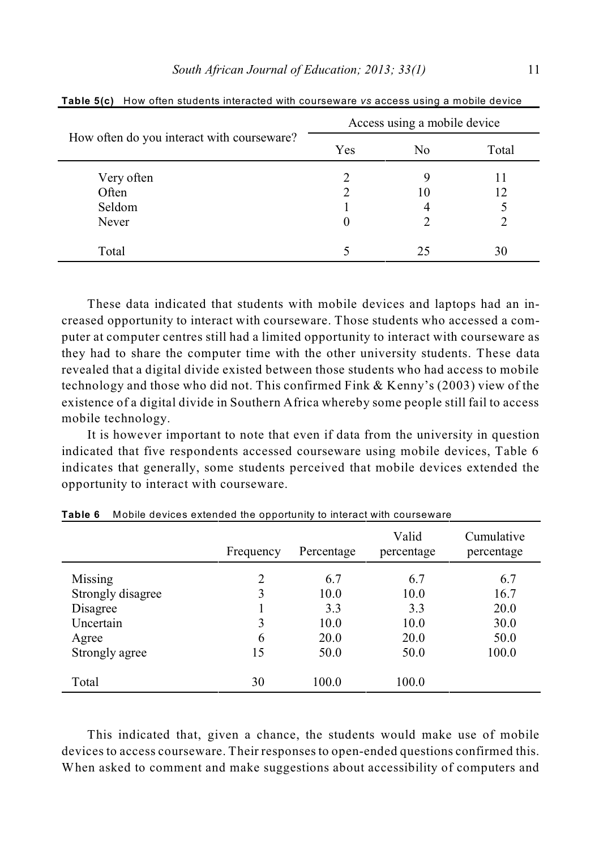|                                            | Access using a mobile device |    |       |  |
|--------------------------------------------|------------------------------|----|-------|--|
| How often do you interact with courseware? | Yes                          | No | Total |  |
| Very often                                 |                              |    |       |  |
| Often                                      |                              | 10 | 12    |  |
| Seldom                                     |                              |    |       |  |
| Never                                      | $\theta$                     |    |       |  |
| Total                                      |                              | 25 | 30    |  |

**Table 5(c)** How often students interacted with courseware *vs* access using a mobile device

These data indicated that students with mobile devices and laptops had an increased opportunity to interact with courseware. Those students who accessed a computer at computer centres still had a limited opportunity to interact with courseware as they had to share the computer time with the other university students. These data revealed that a digital divide existed between those students who had access to mobile technology and those who did not. This confirmed Fink & Kenny's (2003) view of the existence of a digital divide in Southern Africa whereby some people still fail to access mobile technology.

It is however important to note that even if data from the university in question indicated that five respondents accessed courseware using mobile devices, Table 6 indicates that generally, some students perceived that mobile devices extended the opportunity to interact with courseware.

|                   | Frequency | Percentage | Valid<br>percentage | Cumulative<br>percentage |
|-------------------|-----------|------------|---------------------|--------------------------|
| Missing           | 2         | 6.7        | 6.7                 | 6.7                      |
| Strongly disagree | 3         | 10.0       | 10.0                | 16.7                     |
| Disagree          |           | 3.3        | 3.3                 | 20.0                     |
| Uncertain         | 3         | 10.0       | 10.0                | 30.0                     |
| Agree             | 6         | 20.0       | 20.0                | 50.0                     |
| Strongly agree    | 15        | 50.0       | 50.0                | 100.0                    |
| Total             | 30        | 100.0      | 100.0               |                          |

**Table 6** Mobile devices extended the opportunity to interact with courseware

This indicated that, given a chance, the students would make use of mobile devices to access courseware. Their responses to open-ended questions confirmed this. When asked to comment and make suggestions about accessibility of computers and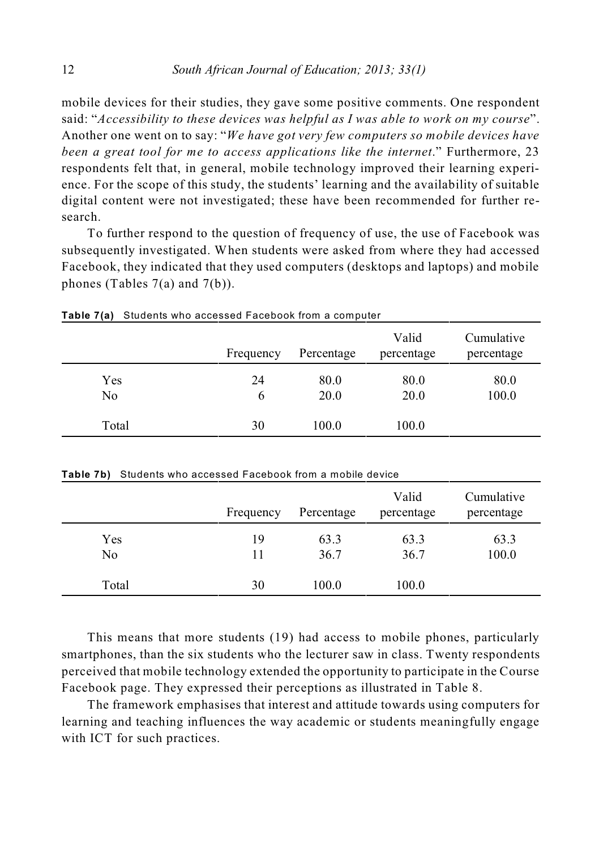mobile devices for their studies, they gave some positive comments. One respondent said: "*Accessibility to these devices was helpful as I was able to work on my course*". Another one went on to say: "*We have got very few computers so mobile devices have been a great tool for me to access applications like the internet*." Furthermore, 23 respondents felt that, in general, mobile technology improved their learning experience. For the scope of this study, the students' learning and the availability of suitable digital content were not investigated; these have been recommended for further research.

To further respond to the question of frequency of use, the use of Facebook was subsequently investigated. When students were asked from where they had accessed Facebook, they indicated that they used computers (desktops and laptops) and mobile phones (Tables 7(a) and 7(b)).

|           | Frequency | Percentage   | Valid<br>percentage | Cumulative<br>percentage |
|-----------|-----------|--------------|---------------------|--------------------------|
| Yes<br>No | 24<br>6   | 80.0<br>20.0 | 80.0<br>20.0        | 80.0<br>100.0            |
| Total     | 30        | 100.0        | 100.0               |                          |

|  | Table 7(a) Students who accessed Facebook from a computer |  |  |  |  |
|--|-----------------------------------------------------------|--|--|--|--|
|--|-----------------------------------------------------------|--|--|--|--|

|       | Frequency | Percentage | Valid<br>percentage | Cumulative<br>percentage |
|-------|-----------|------------|---------------------|--------------------------|
| Yes   | 19        | 63.3       | 63.3                | 63.3                     |
| No    | 11        | 36.7       | 36.7                | 100.0                    |
| Total | 30        | 100.0      | 100.0               |                          |

**Table 7b)** Students who accessed Facebook from a mobile device

This means that more students (19) had access to mobile phones, particularly smartphones, than the six students who the lecturer saw in class. Twenty respondents perceived that mobile technology extended the opportunity to participate in the Course Facebook page. They expressed their perceptions as illustrated in Table 8.

The framework emphasises that interest and attitude towards using computers for learning and teaching influences the way academic or students meaningfully engage with ICT for such practices.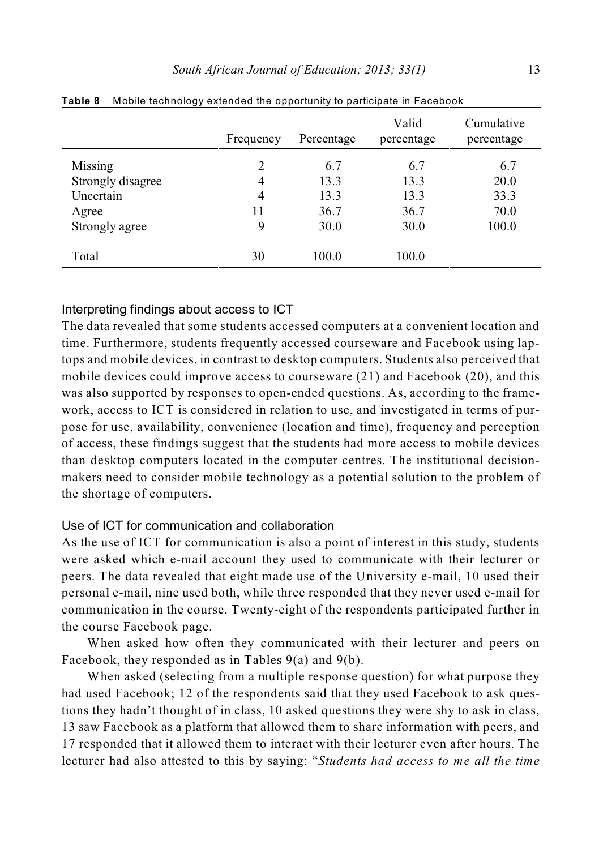|                   | Frequency | Percentage | Valid<br>percentage | Cumulative<br>percentage |
|-------------------|-----------|------------|---------------------|--------------------------|
| Missing           | 2         | 6.7        | 6.7                 | 6.7                      |
| Strongly disagree | 4         | 13.3       | 13.3                | 20.0                     |
| Uncertain         | 4         | 13.3       | 13.3                | 33.3                     |
| Agree             | 11        | 36.7       | 36.7                | 70.0                     |
| Strongly agree    | 9         | 30.0       | 30.0                | 100.0                    |
| Total             | 30        | 100.0      | 100.0               |                          |

#### **Table 8** Mobile technology extended the opportunity to participate in Facebook

### Interpreting findings about access to ICT

The data revealed that some students accessed computers at a convenient location and time. Furthermore, students frequently accessed courseware and Facebook using laptops and mobile devices, in contrast to desktop computers. Students also perceived that mobile devices could improve access to courseware (21) and Facebook (20), and this was also supported by responses to open-ended questions. As, according to the framework, access to ICT is considered in relation to use, and investigated in terms of purpose for use, availability, convenience (location and time), frequency and perception of access, these findings suggest that the students had more access to mobile devices than desktop computers located in the computer centres. The institutional decisionmakers need to consider mobile technology as a potential solution to the problem of the shortage of computers.

## Use of ICT for communication and collaboration

As the use of ICT for communication is also a point of interest in this study, students were asked which e-mail account they used to communicate with their lecturer or peers. The data revealed that eight made use of the University e-mail, 10 used their personal e-mail, nine used both, while three responded that they never used e-mail for communication in the course. Twenty-eight of the respondents participated further in the course Facebook page.

When asked how often they communicated with their lecturer and peers on Facebook, they responded as in Tables 9(a) and 9(b).

When asked (selecting from a multiple response question) for what purpose they had used Facebook; 12 of the respondents said that they used Facebook to ask questions they hadn't thought of in class, 10 asked questions they were shy to ask in class, 13 saw Facebook as a platform that allowed them to share information with peers, and 17 responded that it allowed them to interact with their lecturer even after hours. The lecturer had also attested to this by saying: "*Students had access to me all the time*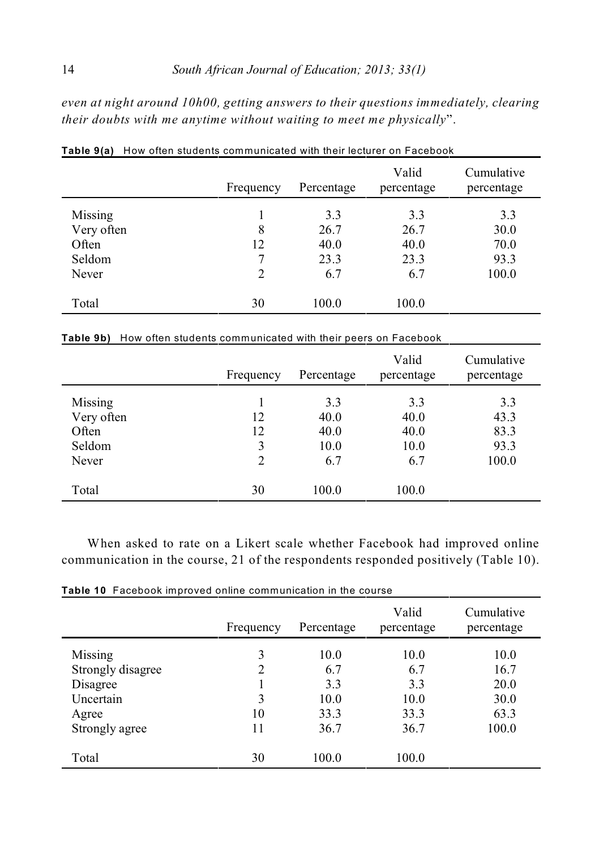*even at night around 10h00, getting answers to their questions immediately, clearing their doubts with me anytime without waiting to meet me physically*".

|            | Frequency | Percentage | Valid<br>percentage | Cumulative<br>percentage |
|------------|-----------|------------|---------------------|--------------------------|
| Missing    |           | 3.3        | 3.3                 | 3.3                      |
| Very often | 8         | 26.7       | 26.7                | 30.0                     |
| Often      | 12        | 40.0       | 40.0                | 70.0                     |
| Seldom     | 7         | 23.3       | 23.3                | 93.3                     |
| Never      | 2         | 6.7        | 6.7                 | 100.0                    |
| Total      | 30        | 100.0      | 100.0               |                          |

**Table 9(a)** How often students communicated with their lecturer on Facebook

|  |  |  | <b>Table 9b)</b> How often students communicated with their peers on Facebook |  |  |  |
|--|--|--|-------------------------------------------------------------------------------|--|--|--|
|--|--|--|-------------------------------------------------------------------------------|--|--|--|

|            | Frequency | Percentage | Valid<br>percentage | Cumulative<br>percentage |
|------------|-----------|------------|---------------------|--------------------------|
| Missing    |           | 3.3        | 3.3                 | 3.3                      |
| Very often | 12        | 40.0       | 40.0                | 43.3                     |
| Often      | 12        | 40.0       | 40.0                | 83.3                     |
| Seldom     | 3         | 10.0       | 10.0                | 93.3                     |
| Never      | 2         | 6.7        | 6.7                 | 100.0                    |
| Total      | 30        | 100.0      | 100.0               |                          |

When asked to rate on a Likert scale whether Facebook had improved online communication in the course, 21 of the respondents responded positively (Table 10).

|                   | Frequency | Percentage | Valid<br>percentage | Cumulative<br>percentage |
|-------------------|-----------|------------|---------------------|--------------------------|
| Missing           | 3         | 10.0       | 10.0                | 10.0                     |
| Strongly disagree | 2         | 6.7        | 6.7                 | 16.7                     |
| Disagree          |           | 3.3        | 3.3                 | 20.0                     |
| Uncertain         | 3         | 10.0       | 10.0                | 30.0                     |
| Agree             | 10        | 33.3       | 33.3                | 63.3                     |
| Strongly agree    | 11        | 36.7       | 36.7                | 100.0                    |
| Total             | 30        | 100.0      | 100.0               |                          |

**Table 10** Facebook improved online communication in the course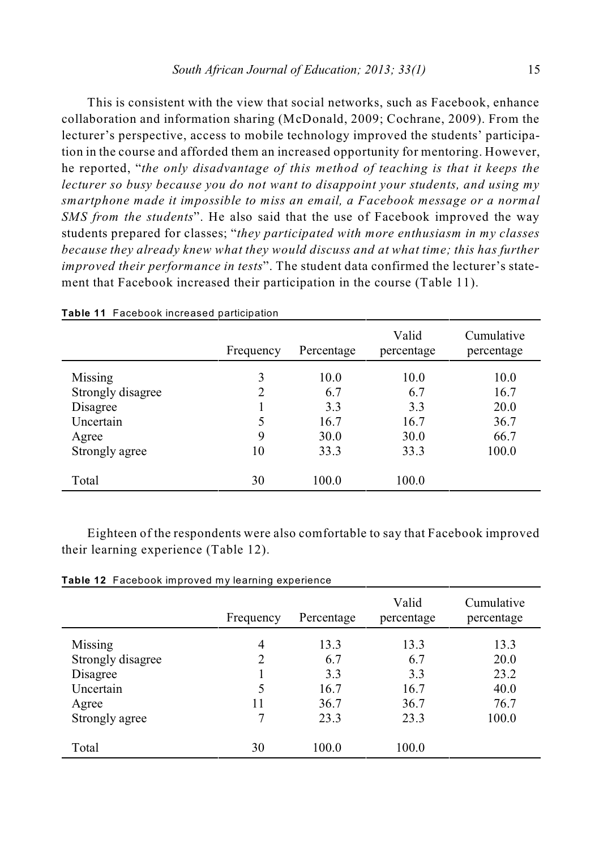This is consistent with the view that social networks, such as Facebook, enhance collaboration and information sharing (McDonald, 2009; Cochrane, 2009). From the lecturer's perspective, access to mobile technology improved the students' participation in the course and afforded them an increased opportunity for mentoring. However, he reported, "*the only disadvantage of this method of teaching is that it keeps the lecturer so busy because you do not want to disappoint your students, and using my smartphone made it impossible to miss an email, a Facebook message or a normal SMS from the students*". He also said that the use of Facebook improved the way students prepared for classes; "*they participated with more enthusiasm in my classes because they already knew what they would discuss and at what time; this has further improved their performance in tests*". The student data confirmed the lecturer's statement that Facebook increased their participation in the course (Table 11).

|                   | Frequency | Percentage | Valid<br>percentage | Cumulative<br>percentage |
|-------------------|-----------|------------|---------------------|--------------------------|
| Missing           | 3         | 10.0       | 10.0                | 10.0                     |
| Strongly disagree | 2         | 6.7        | 6.7                 | 16.7                     |
| Disagree          |           | 3.3        | 3.3                 | 20.0                     |
| Uncertain         | 5         | 16.7       | 16.7                | 36.7                     |
| Agree             | 9         | 30.0       | 30.0                | 66.7                     |
| Strongly agree    | 10        | 33.3       | 33.3                | 100.0                    |
| Total             | 30        | 100.0      | 100.0               |                          |

#### **Table 11** Facebook increased participation

Eighteen of the respondents were also comfortable to say that Facebook improved their learning experience (Table 12).

|  | Table 12 Facebook improved my learning experience |  |  |  |  |
|--|---------------------------------------------------|--|--|--|--|
|--|---------------------------------------------------|--|--|--|--|

|                   | Frequency      | Percentage | Valid<br>percentage | Cumulative<br>percentage |
|-------------------|----------------|------------|---------------------|--------------------------|
| Missing           | $\overline{4}$ | 13.3       | 13.3                | 13.3                     |
| Strongly disagree | 2              | 6.7        | 6.7                 | 20.0                     |
| Disagree          |                | 3.3        | 3.3                 | 23.2                     |
| Uncertain         | 5              | 16.7       | 16.7                | 40.0                     |
| Agree             | 11             | 36.7       | 36.7                | 76.7                     |
| Strongly agree    |                | 23.3       | 23.3                | 100.0                    |
| Total             | 30             | 100.0      | 100.0               |                          |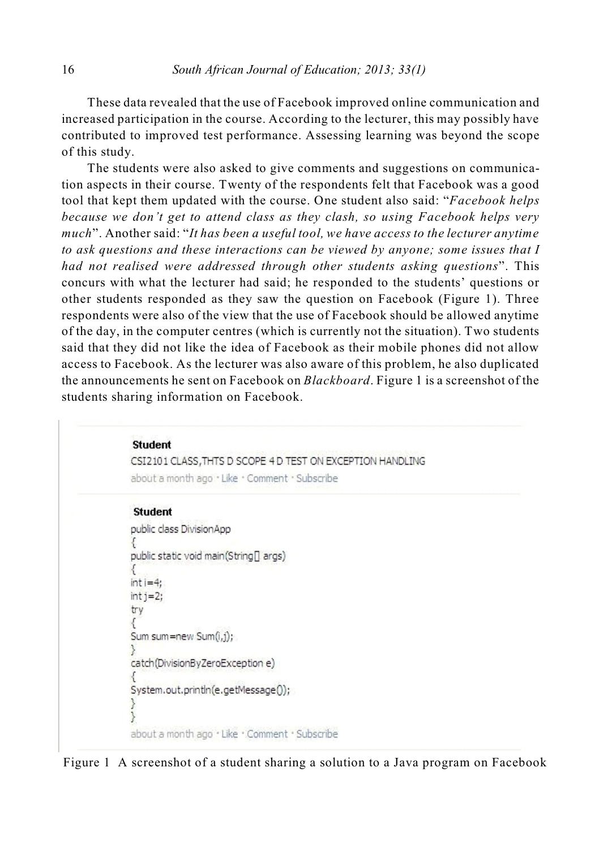These data revealed that the use of Facebook improved online communication and increased participation in the course. According to the lecturer, this may possibly have contributed to improved test performance. Assessing learning was beyond the scope of this study.

The students were also asked to give comments and suggestions on communication aspects in their course. Twenty of the respondents felt that Facebook was a good tool that kept them updated with the course. One student also said: "*Facebook helps because we don't get to attend class as they clash, so using Facebook helps very much*". Another said: "*It has been a useful tool, we have access to the lecturer anytime to ask questions and these interactions can be viewed by anyone; some issues that I had not realised were addressed through other students asking questions*". This concurs with what the lecturer had said; he responded to the students' questions or other students responded as they saw the question on Facebook (Figure 1). Three respondents were also of the view that the use of Facebook should be allowed anytime of the day, in the computer centres (which is currently not the situation). Two students said that they did not like the idea of Facebook as their mobile phones did not allow access to Facebook. As the lecturer was also aware of this problem, he also duplicated the announcements he sent on Facebook on *Blackboard*. Figure 1 is a screenshot of the students sharing information on Facebook.

```
Student
CSI2101 CLASS, THTS D SCOPE 4 D TEST ON EXCEPTION HANDLING
about a month ago . Like . Comment . Subscribe
Student
public class DivisionApp
public static void main(String[] args)
int i=4;
int j=2;try
Sum sum=new Sum(i,j);
catch(DivisionByZeroException e)
System.out.println(e.getMessage());
Þ
about a month ago . Like . Comment . Subscribe
```
Figure 1 A screenshot of a student sharing a solution to a Java program on Facebook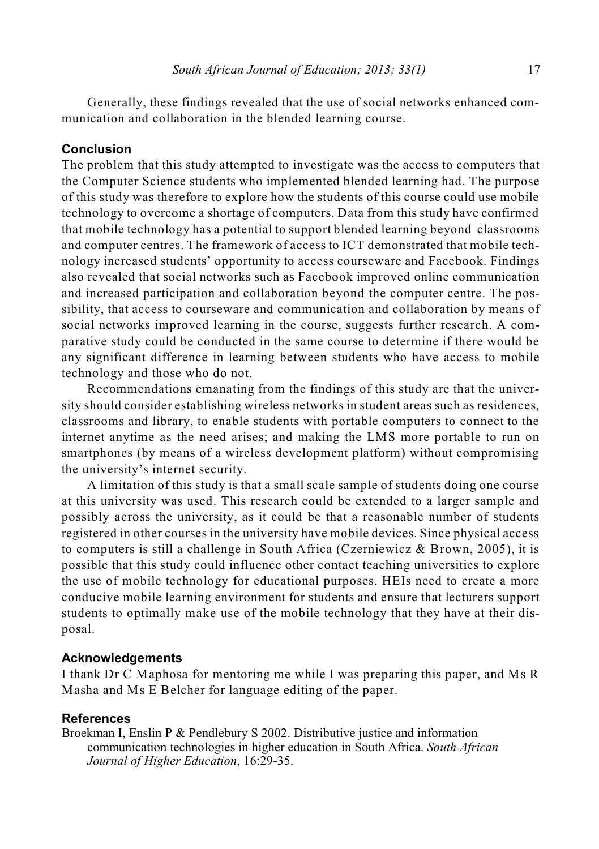Generally, these findings revealed that the use of social networks enhanced communication and collaboration in the blended learning course.

## **Conclusion**

The problem that this study attempted to investigate was the access to computers that the Computer Science students who implemented blended learning had. The purpose of this study was therefore to explore how the students of this course could use mobile technology to overcome a shortage of computers. Data from this study have confirmed that mobile technology has a potential to support blended learning beyond classrooms and computer centres. The framework of access to ICT demonstrated that mobile technology increased students' opportunity to access courseware and Facebook. Findings also revealed that social networks such as Facebook improved online communication and increased participation and collaboration beyond the computer centre. The possibility, that access to courseware and communication and collaboration by means of social networks improved learning in the course, suggests further research. A comparative study could be conducted in the same course to determine if there would be any significant difference in learning between students who have access to mobile technology and those who do not.

Recommendations emanating from the findings of this study are that the university should consider establishing wireless networks in student areas such as residences, classrooms and library, to enable students with portable computers to connect to the internet anytime as the need arises; and making the LMS more portable to run on smartphones (by means of a wireless development platform) without compromising the university's internet security.

A limitation of this study is that a small scale sample of students doing one course at this university was used. This research could be extended to a larger sample and possibly across the university, as it could be that a reasonable number of students registered in other courses in the university have mobile devices. Since physical access to computers is still a challenge in South Africa (Czerniewicz & Brown, 2005), it is possible that this study could influence other contact teaching universities to explore the use of mobile technology for educational purposes. HEIs need to create a more conducive mobile learning environment for students and ensure that lecturers support students to optimally make use of the mobile technology that they have at their disposal.

#### **Acknowledgements**

I thank Dr C Maphosa for mentoring me while I was preparing this paper, and Ms R Masha and Ms E Belcher for language editing of the paper.

#### **References**

Broekman I, Enslin P & Pendlebury S 2002. Distributive justice and information communication technologies in higher education in South Africa. *South African Journal of Higher Education*, 16:29-35.